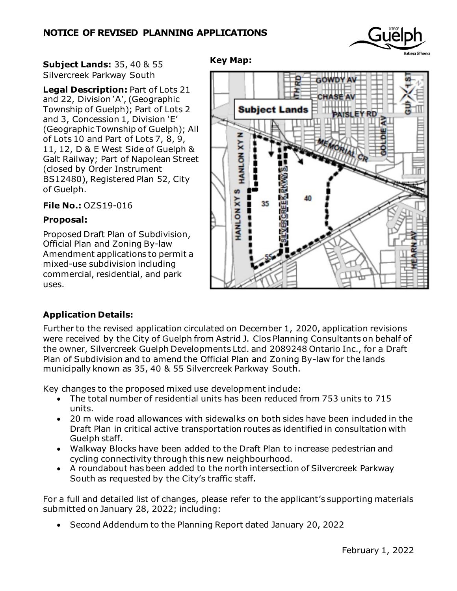

**Subject Lands:** 35, 40 & 55 Silvercreek Parkway South

**Legal Description:** Part of Lots 21 and 22, Division 'A', (Geographic Township of Guelph); Part of Lots 2 and 3, Concession 1, Division 'E' (Geographic Township of Guelph); All of Lots 10 and Part of Lots 7, 8, 9, 11, 12, D & E West Side of Guelph & Galt Railway; Part of Napolean Street (closed by Order Instrument BS12480), Registered Plan 52, City of Guelph.

**File No.:** OZS19-016

## **Proposal:**

Proposed Draft Plan of Subdivision, Official Plan and Zoning By-law Amendment applications to permit a mixed-use subdivision including commercial, residential, and park uses.



## **Application Details:**

Further to the revised application circulated on December 1, 2020, application revisions were received by the City of Guelph from Astrid J. Clos Planning Consultants on behalf of the owner, Silvercreek Guelph Developments Ltd. and 2089248 Ontario Inc., for a Draft Plan of Subdivision and to amend the Official Plan and Zoning By-law for the lands municipally known as 35, 40 & 55 Silvercreek Parkway South.

**Key Map:**

Key changes to the proposed mixed use development include:

- The total number of residential units has been reduced from 753 units to 715 units.
- 20 m wide road allowances with sidewalks on both sides have been included in the Draft Plan in critical active transportation routes as identified in consultation with Guelph staff.
- Walkway Blocks have been added to the Draft Plan to increase pedestrian and cycling connectivity through this new neighbourhood.
- A roundabout has been added to the north intersection of Silvercreek Parkway South as requested by the City's traffic staff.

For a full and detailed list of changes, please refer to the applicant's supporting materials submitted on January 28, 2022; including:

• Second Addendum to the Planning Report dated January 20, 2022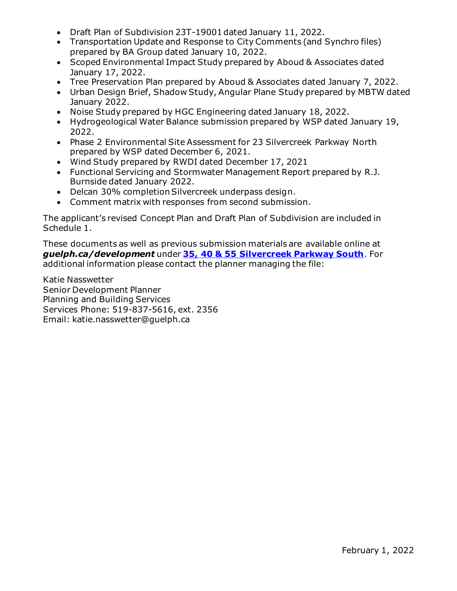- Draft Plan of Subdivision 23T-19001 dated January 11, 2022.
- Transportation Update and Response to City Comments (and Synchro files) prepared by BA Group dated January 10, 2022.
- Scoped Environmental Impact Study prepared by Aboud & Associates dated January 17, 2022.
- Tree Preservation Plan prepared by Aboud & Associates dated January 7, 2022.
- Urban Design Brief, Shadow Study, Angular Plane Study prepared by MBTW dated January 2022.
- Noise Study prepared by HGC Engineering dated January 18, 2022.
- Hydrogeological Water Balance submission prepared by WSP dated January 19, 2022.
- Phase 2 Environmental Site Assessment for 23 Silvercreek Parkway North prepared by WSP dated December 6, 2021.
- Wind Study prepared by RWDI dated December 17, 2021
- Functional Servicing and Stormwater Management Report prepared by R.J. Burnside dated January 2022.
- Delcan 30% completion Silvercreek underpass design.
- Comment matrix with responses from second submission.

The applicant's revised Concept Plan and Draft Plan of Subdivision are included in Schedule 1.

These documents as well as previous submission materials are available online at *guelph.ca/development* under **[35, 40 & 55 Silvercreek Parkway South](https://guelph.ca/2020/01/35-40-silvercreek-parkway-south-2/)**. For additional information please contact the planner managing the file:

Katie Nasswetter Senior Development Planner Planning and Building Services Services Phone: 519-837-5616, ext. 2356 Email: katie.nasswetter@guelph.ca